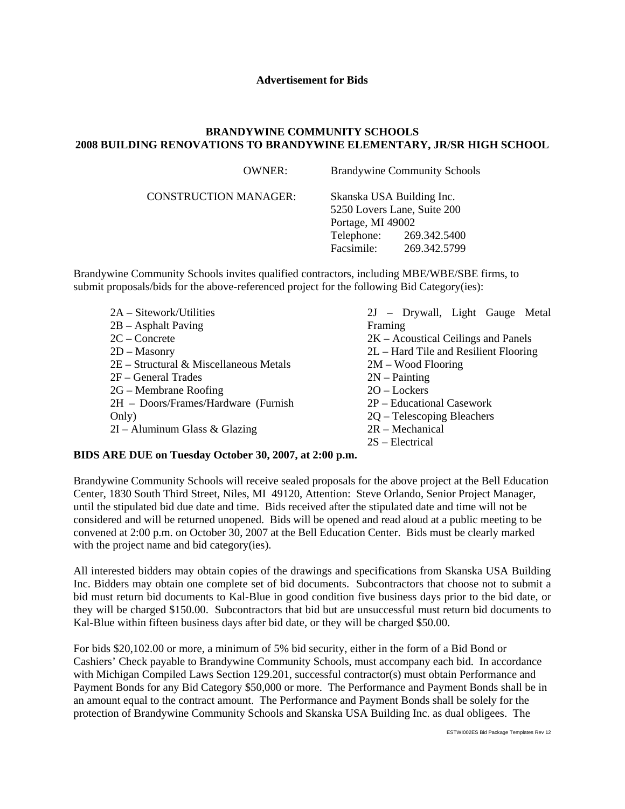## **Advertisement for Bids**

## **BRANDYWINE COMMUNITY SCHOOLS 2008 BUILDING RENOVATIONS TO BRANDYWINE ELEMENTARY, JR/SR HIGH SCHOOL**

 $\overline{\text{OWAPD}}$ :  $\overline{\text{B}}$  by density  $\overline{\text{C}}$  and  $\overline{\text{C}}$  shouls  $\overline{\text{C}}$ 

| UWNER:                       |                   | Brandywine Community Schools                             |  |
|------------------------------|-------------------|----------------------------------------------------------|--|
| <b>CONSTRUCTION MANAGER:</b> |                   | Skanska USA Building Inc.<br>5250 Lovers Lane, Suite 200 |  |
|                              | Portage, MI 49002 |                                                          |  |
|                              | Telephone:        | 269.342.5400                                             |  |
|                              | Facsimile:        | 269.342.5799                                             |  |

Brandywine Community Schools invites qualified contractors, including MBE/WBE/SBE firms, to submit proposals/bids for the above-referenced project for the following Bid Category(ies):

| 2A – Sitework/Utilities                  |
|------------------------------------------|
| $2B - Asphalt Paving$                    |
| $2C$ – Concrete                          |
| $2D -$ Masonry                           |
| $2E$ – Structural & Miscellaneous Metals |
| 2F – General Trades                      |
| 2G – Membrane Roofing                    |
| 2H - Doors/Frames/Hardware (Furnish      |
| Only)                                    |
| $2I -$ Aluminum Glass & Glazing          |

2J – Drywall, Light Gauge Metal Framing 2K – Acoustical Ceilings and Panels 2L – Hard Tile and Resilient Flooring 2M – Wood Flooring 2N – Painting 2O – Lockers 2P – Educational Casework 2Q – Telescoping Bleachers 2R – Mechanical 2S – Electrical

## **BIDS ARE DUE on Tuesday October 30, 2007, at 2:00 p.m.**

Brandywine Community Schools will receive sealed proposals for the above project at the Bell Education Center, 1830 South Third Street, Niles, MI 49120, Attention: Steve Orlando, Senior Project Manager, until the stipulated bid due date and time. Bids received after the stipulated date and time will not be considered and will be returned unopened. Bids will be opened and read aloud at a public meeting to be convened at 2:00 p.m. on October 30, 2007 at the Bell Education Center. Bids must be clearly marked with the project name and bid category(ies).

All interested bidders may obtain copies of the drawings and specifications from Skanska USA Building Inc. Bidders may obtain one complete set of bid documents. Subcontractors that choose not to submit a bid must return bid documents to Kal-Blue in good condition five business days prior to the bid date, or they will be charged \$150.00. Subcontractors that bid but are unsuccessful must return bid documents to Kal-Blue within fifteen business days after bid date, or they will be charged \$50.00.

For bids \$20,102.00 or more, a minimum of 5% bid security, either in the form of a Bid Bond or Cashiers' Check payable to Brandywine Community Schools, must accompany each bid. In accordance with Michigan Compiled Laws Section 129.201, successful contractor(s) must obtain Performance and Payment Bonds for any Bid Category \$50,000 or more. The Performance and Payment Bonds shall be in an amount equal to the contract amount. The Performance and Payment Bonds shall be solely for the protection of Brandywine Community Schools and Skanska USA Building Inc. as dual obligees. The